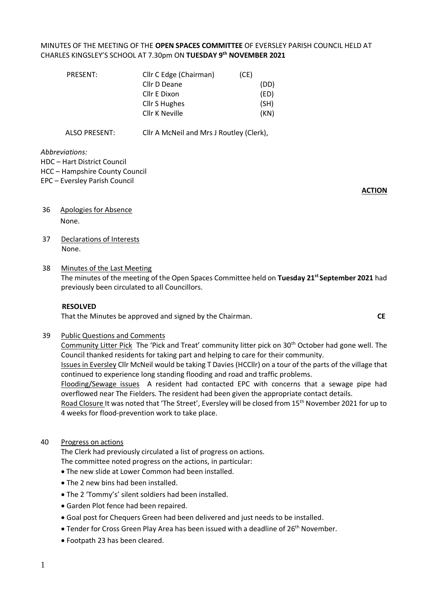# MINUTES OF THE MEETING OF THE **OPEN SPACES COMMITTEE** OF EVERSLEY PARISH COUNCIL HELD AT CHARLES KINGSLEY'S SCHOOL AT 7.30pm ON **TUESDAY 9 th NOVEMBER 2021**

| PRESENT: | Cllr C Edge (Chairman) | (CE) |
|----------|------------------------|------|
|          | Cllr D Deane           | (DD) |
|          | Cllr E Dixon           | (ED) |
|          | Cllr S Hughes          | (SH) |
|          | Cllr K Neville         | (KN) |
|          |                        |      |

ALSO PRESENT: Cllr A McNeil and Mrs J Routley (Clerk),

*Abbreviations:* 

HDC – Hart District Council

HCC – Hampshire County Council

#### EPC – Eversley Parish Council

**ACTION**

- 36 Apologies for Absence None.
- 37 Declarations of Interests None.

#### 38 Minutes of the Last Meeting

The minutes of the meeting of the Open Spaces Committee held on **Tuesday 21 st September 2021** had previously been circulated to all Councillors.

#### **RESOLVED**

That the Minutes be approved and signed by the Chairman.**CE**

#### 39 Public Questions and Comments

Community Litter Pick The 'Pick and Treat' community litter pick on 30<sup>th</sup> October had gone well. The Council thanked residents for taking part and helping to care for their community.

Issues in Eversley Cllr McNeil would be taking T Davies (HCCllr) on a tour of the parts of the village that continued to experience long standing flooding and road and traffic problems.

Flooding/Sewage issues A resident had contacted EPC with concerns that a sewage pipe had overflowed near The Fielders. The resident had been given the appropriate contact details.

Road Closure It was noted that 'The Street', Eversley will be closed from 15<sup>th</sup> November 2021 for up to 4 weeks for flood-prevention work to take place.

### 40 Progress on actions

The Clerk had previously circulated a list of progress on actions. The committee noted progress on the actions, in particular:

- The new slide at Lower Common had been installed.
- The 2 new bins had been installed.
- The 2 'Tommy's' silent soldiers had been installed.
- Garden Plot fence had been repaired.
- Goal post for Chequers Green had been delivered and just needs to be installed.
- Tender for Cross Green Play Area has been issued with a deadline of 26<sup>th</sup> November.
- Footpath 23 has been cleared.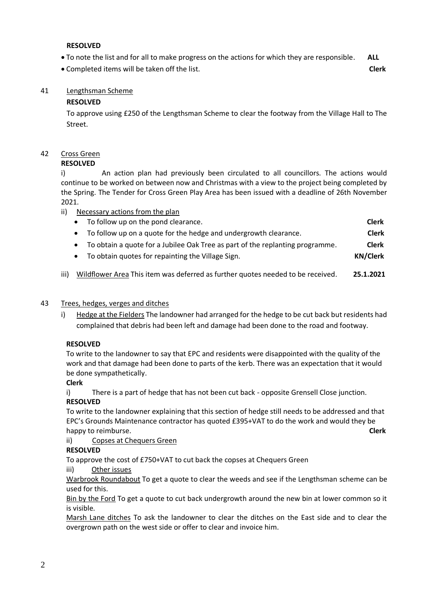### **RESOLVED**

- To note the list and for all to make progress on the actions for which they are responsible. **ALL**
- Completed items will be taken off the list. **Clerk**

## 41 Lengthsman Scheme

### **RESOLVED**

To approve using £250 of the Lengthsman Scheme to clear the footway from the Village Hall to The Street.

# 42 Cross Green

### **RESOLVED**

i) An action plan had previously been circulated to all councillors. The actions would continue to be worked on between now and Christmas with a view to the project being completed by the Spring. The Tender for Cross Green Play Area has been issued with a deadline of 26th November 2021.

ii) Necessary actions from the plan

|           | • To follow up on the pond clearance.                                           | <b>Clerk</b>    |
|-----------|---------------------------------------------------------------------------------|-----------------|
|           | • To follow up on a quote for the hedge and undergrowth clearance.              | <b>Clerk</b>    |
|           | • To obtain a quote for a Jubilee Oak Tree as part of the replanting programme. | <b>Clerk</b>    |
| $\bullet$ | To obtain quotes for repainting the Village Sign.                               | <b>KN/Clerk</b> |
|           |                                                                                 |                 |

iii) Wildflower Area This item was deferred as further quotes needed to be received. **25.1.2021**

## 43 Trees, hedges, verges and ditches

i) Hedge at the Fielders The landowner had arranged for the hedge to be cut back but residents had complained that debris had been left and damage had been done to the road and footway.

## **RESOLVED**

To write to the landowner to say that EPC and residents were disappointed with the quality of the work and that damage had been done to parts of the kerb. There was an expectation that it would be done sympathetically.

**Clerk**

i) There is a part of hedge that has not been cut back - opposite Grensell Close junction. **RESOLVED**

To write to the landowner explaining that this section of hedge still needs to be addressed and that EPC's Grounds Maintenance contractor has quoted £395+VAT to do the work and would they be happy to reimburse. **Clerk**

ii) Copses at Chequers Green

## **RESOLVED**

To approve the cost of £750+VAT to cut back the copses at Chequers Green

iii) Other issues

Warbrook Roundabout To get a quote to clear the weeds and see if the Lengthsman scheme can be used for this.

Bin by the Ford To get a quote to cut back undergrowth around the new bin at lower common so it is visible.

Marsh Lane ditches To ask the landowner to clear the ditches on the East side and to clear the overgrown path on the west side or offer to clear and invoice him.